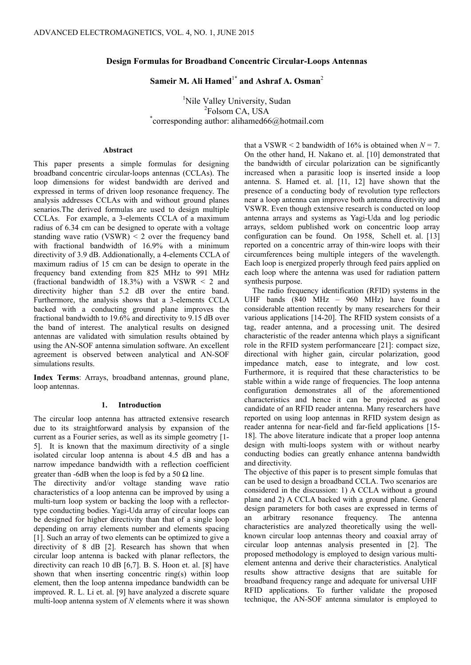# **Design Formulas for Broadband Concentric Circular-Loops Antennas**

# Sameir M. Ali Hamed<sup>1\*</sup> and Ashraf A. Osman<sup>2</sup>

<sup>1</sup>Nile Valley University, Sudan <sup>2</sup>Folsom CA, USA <sup>2</sup>Folsom CA, USA<br>
\*corresponding author: alihamed66@hotmail.com

## **Abstract**

This paper presents a simple formulas for designing broadband concentric circular-loops antennas (CCLAs). The loop dimensions for widest bandwidth are derived and expressed in terms of driven loop resonance frequency. The analysis addresses CCLAs with and without ground planes senarios.The derived formulas are used to design multiple CCLAs. For example, a 3-elements CCLA of a maximum radius of 6.34 cm can be designed to operate with a voltage standing wave ratio (VSWR)  $\leq$  2 over the frequency band with fractional bandwidth of 16.9% with a minimum directivity of 3.9 dB. Addionationally, a 4-elements CCLA of maximum radius of 15 cm can be design to operate in the frequency band extending from 825 MHz to 991 MHz (fractional bandwidth of  $18.3\%$ ) with a VSWR  $\leq$  2 and directivity higher than 5.2 dB over the entire band. Furthermore, the analysis shows that a 3-elements CCLA backed with a conducting ground plane improves the fractional bandwidth to 19.6% and directivity to 9.15 dB over the band of interest. The analytical results on designed antennas are validated with simulation results obtained by using the AN-SOF antenna simulation software. An excellent agreement is observed between analytical and AN-SOF simulations results.

**Index Terms**: Arrays, broadband antennas, ground plane, loop antennas.

#### **1. Introduction**

The circular loop antenna has attracted extensive research due to its straightforward analysis by expansion of the current as a Fourier series, as well as its simple geometry [1- 5]. It is known that the maximum directivity of a single isolated circular loop antenna is about 4.5 dB and has a narrow impedance bandwidth with a reflection coefficient greater than -6dB when the loop is fed by a 50  $\Omega$  line.

The directivity and/or voltage standing wave ratio characteristics of a loop antenna can be improved by using a multi-turn loop system or backing the loop with a reflectortype conducting bodies. Yagi-Uda array of circular loops can be designed for higher directivity than that of a single loop depending on array elements number and elements spacing [1]. Such an array of two elements can be optimized to give a directivity of 8 dB [2]. Research has shown that when circular loop antenna is backed with planar reflectors, the directivity can reach 10 dB [6,7]. B. S. Hoon et. al. [8] have shown that when inserting concentric ring(s) within loop element, then the loop antenna impedance bandwidth can be improved. R. L. Li et. al. [9] have analyzed a discrete square multi-loop antenna system of *N* elements where it was shown

that a VSWR  $\leq$  2 bandwidth of 16% is obtained when  $N = 7$ . On the other hand, H. Nakano et. al. [10] demonstrated that the bandwidth of circular polarization can be significantly increased when a parasitic loop is inserted inside a loop antenna. S. Hamed et. al. [11, 12] have shown that the presence of a conducting body of revolution type reflectors near a loop antenna can improve both antenna directivity and VSWR. Even though extensive research is conducted on loop antenna arrays and systems as Yagi-Uda and log periodic arrays, seldom published work on concentric loop array configuration can be found. On 1958, Schell et. al. [13] reported on a concentric array of thin-wire loops with their circumferences being multiple integers of the wavelength. Each loop is energized properly through feed pairs applied on each loop where the antenna was used for radiation pattern synthesis purpose.

The radio frequency identification (RFID) systems in the UHF bands (840 MHz – 960 MHz) have found a considerable attention recently by many researchers for their various applications [14-20]. The RFID system consists of a tag, reader antenna, and a processing unit. The desired characteristic of the reader antenna which plays a significant role in the RFID system performanceare [21]: compact size, directional with higher gain, circular polarization, good impedance match, ease to integrate, and low cost. Furthermore, it is required that these characteristics to be stable within a wide range of frequencies. The loop antenna configuration demonstrates all of the aforementioned characteristics and hence it can be projected as good candidate of an RFID reader antenna. Many researchers have reported on using loop antennas in RFID system design as reader antenna for near-field and far-field applications [15- 18]. The above literature indicate that a proper loop antenna design with multi-loops system with or without nearby conducting bodies can greatly enhance antenna bandwidth and directivity.

The objective of this paper is to present simple fomulas that can be used to design a broadband CCLA. Two scenarios are considered in the discussion: 1) A CCLA without a ground plane and 2) A CCLA backed with a ground plane. General design parameters for both cases are expressed in terms of an arbitrary resonance frequency. The antenna characteristics are analyzed theoretically using the wellknown circular loop antennas theory and coaxial array of circular loop antennas analysis presented in [2]. The proposed methodology is employed to design various multielement antenna and derive their characteristics. Analytical results show attractive designs that are suitable for broadband frequency range and adequate for universal UHF RFID applications. To further validate the proposed technique, the AN-SOF antenna simulator is employed to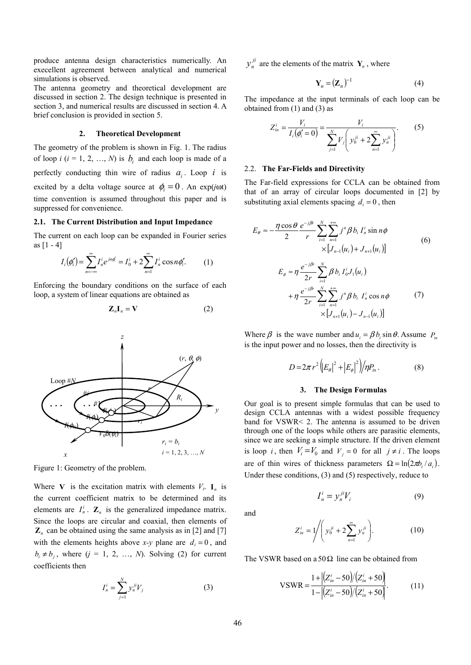produce antenna design characteristics numerically. An execellent agreement between analytical and numerical simulations is observed.

The antenna geometry and theoretical development are discussed in section 2. The design technique is presented in section 3, and numerical results are discussed in section 4. A brief conclusion is provided in section 5.

# **2. Theoretical Development**

The geometry of the problem is shown in Fig. 1. The radius of loop  $i$  ( $i = 1, 2, ..., N$ ) is  $b_i$  and each loop is made of a perfectly conducting thin wire of radius  $a_i$ . Loop *i* is excited by a delta voltage source at  $\phi_i = 0$ . An exp(*j*ωt) time convention is assumed throughout this paper and is suppressed for convenience.

# **2.1. The Current Distribution and Input Impedance**

The current on each loop can be expanded in Fourier series as  $[1 - 4]$ 

$$
I_i(\phi'_i) = \sum_{n=-\infty}^{\infty} I_n^i e^{jn\phi'_i} = I_0^i + 2 \sum_{n=1}^{\infty} I_n^i \cos n\phi'_i.
$$
 (1)

Enforcing the boundary conditions on the surface of each loop, a system of linear equations are obtained as

$$
\mathbf{Z}_n \mathbf{I}_n = \mathbf{V} \tag{2}
$$



Figure 1: Geometry of the problem.

Where **V** is the excitation matrix with elements  $V_i$ .  $I_n$  is the current coefficient matrix to be determined and its elements are  $I_n^i$ .  $\mathbf{Z}_n$  is the generalized impedance matrix. Since the loops are circular and coaxial, then elements of  $\mathbb{Z}_n$  can be obtained using the same analysis as in [2] and [7] with the elements heights above *x*-*y* plane are  $d_i = 0$ , and  $b_i \neq b_j$ , where  $(j = 1, 2, ..., N)$ . Solving (2) for current coefficients then

$$
I_n^i = \sum_{j=1}^N y_n^{ji} V_j
$$
 (3)

 $y_n^{ji}$  are the elements of the matrix  $\mathbf{Y}_n$ , where

$$
\mathbf{Y}_n = (\mathbf{Z}_n)^{-1} \tag{4}
$$

The impedance at the input terminals of each loop can be obtained from  $(1)$  and  $(3)$  as

$$
Z_{in}^{i} = \frac{V_{i}}{I_{i}(\phi_{i}^{\prime}=0)} = \frac{V_{i}}{\sum_{j=1}^{N} V_{j} \left(y_{0}^{ji} + 2\sum_{n=1}^{\infty} y_{n}^{ji}\right)}.
$$
 (5)

### 2.2. **The Far-Fields and Directivity**

The Far-field expressions for CCLA can be obtained from that of an array of circular loops documented in [2] by substituting axial elements spacing  $d_i = 0$ , then

$$
E_{\theta} \approx -\frac{\eta \cos \theta}{2} \frac{e^{-j\beta r}}{r} \sum_{i=1}^{N} \sum_{n=1}^{+\infty} j^{n} \beta b_{i} I_{n}^{i} \sin n\phi
$$
  
\n
$$
\times [J_{n-1}(u_{i}) + J_{n+1}(u_{i})]
$$
  
\n
$$
E_{\phi} \approx \eta \frac{e^{-j\beta r}}{2r} \sum_{i=1}^{N} \beta b_{i} I_{0}^{i} J_{1}(u_{i})
$$
  
\n
$$
+ \eta \frac{e^{-j\beta r}}{2r} \sum_{i=1}^{N} \sum_{n=1}^{+\infty} j^{n} \beta b_{i} I_{n}^{i} \cos n\phi
$$
  
\n
$$
\times [J_{n+1}(u_{i}) - J_{n-1}(u_{i})]
$$
  
\n(7)

Where  $\beta$  is the wave number and  $u_i = \beta b_i \sin \theta$ . Assume  $P_{in}$ is the input power and no losses, then the directivity is

$$
D = 2\pi r^2 \left( |E_{\theta}|^2 + |E_{\phi}|^2 \right) / \eta P_{in} . \tag{8}
$$

#### **3. The Design Formulas**

Our goal is to present simple formulas that can be used to design CCLA antennas with a widest possible frequency band for VSWR< 2. The antenna is assumed to be driven through one of the loops while others are parasitic elements, since we are seeking a simple structure. If the driven element is loop *i*, then  $V_i = V_0$  and  $V_j = 0$  for all  $j \neq i$ . The loops are of thin wires of thickness parameters  $\Omega = \ln(2\pi b / a_i)$ . Under these conditions, (3) and (5) respectively, reduce to

and

$$
I_n^i = y_n^{ji} V_i \tag{9}
$$

$$
Z_{in}^{i} = 1 / \left( y_0^{ji} + 2 \sum_{n=1}^{\infty} y_n^{ji} \right).
$$
 (10)

The VSWR based on a 50  $\Omega$  line can be obtained from

$$
VSWR = \frac{1 + \left| (Z_{in}^{i} - 50) / (Z_{in}^{i} + 50) \right|}{1 - \left| (Z_{in}^{i} - 50) / (Z_{in}^{i} + 50) \right|}.
$$
 (11)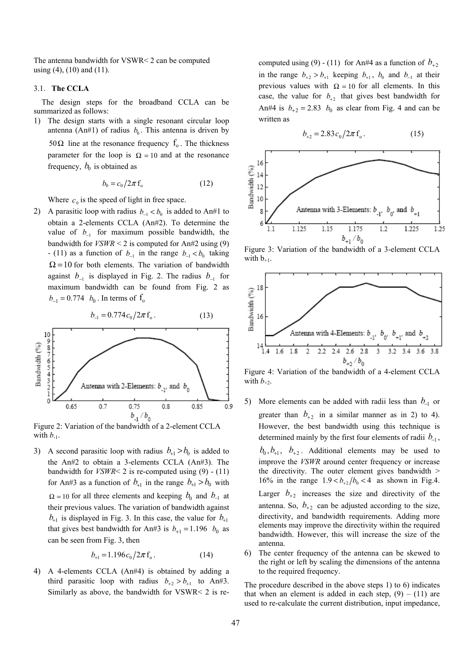The antenna bandwidth for VSWR< 2 can be computed using  $(4)$ ,  $(10)$  and  $(11)$ .

#### 3.1. **The CCLA**

The design steps for the broadband CCLA can be summarized as follows:

1) The design starts with a single resonant circular loop antenna (An#1) of radius  $b_0$ . This antenna is driven by 50Ω line at the resonance frequency  $f_0$ . The thickness parameter for the loop is  $\Omega = 10$  and at the resonance frequency,  $b_0$  is obtained as

$$
b_0 = c_0 / 2\pi f_0 \tag{12}
$$

Where  $c_0$  is the speed of light in free space.

2) A parasitic loop with radius  $b_{-1} < b_0$  is added to An#1 to obtain a 2-elements CCLA (An#2). To determine the value of  $b_{-1}$  for maximum possible bandwidth, the bandwidth for  $VSWR \leq 2$  is computed for An#2 using (9)  $-$  (11) as a function of  $b_{-1}$  in the range  $b_{-1} < b_0$  taking  $\Omega$  = 10 for both elements. The variation of bandwidth against  $b_{-1}$  is displayed in Fig. 2. The radius  $b_{-1}$  for maximum bandwidth can be found from Fig. 2 as  $b_{-1} = 0.774$   $b_0$ . In terms of  $f_0$ 



Figure 2: Variation of the bandwidth of a 2-element CCLA with  $b_{-1}$ .

3) A second parasitic loop with radius  $b_{+1} > b_0$  is added to the An#2 to obtain a 3-elements CCLA (An#3). The bandwidth for  $VSWR \le 2$  is re-computed using  $(9)$  -  $(11)$ for An#3 as a function of  $b_{+1}$  in the range  $b_{+1} > b_0$  with  $\Omega$  = 10 for all three elements and keeping  $b_0$  and  $b_{-1}$  at their previous values. The variation of bandwidth against  $b_{+1}$  is displayed in Fig. 3. In this case, the value for  $b_{+1}$ that gives best bandwidth for An#3 is  $b_{+1} = 1.196$   $b_0$  as can be seen from Fig. 3, then

$$
b_{+1} = 1.196 c_0 / 2\pi f_0. \tag{14}
$$

4) A 4-elements CCLA (An#4) is obtained by adding a third parasitic loop with radius  $b_{+2} > b_{+1}$  to An#3. Similarly as above, the bandwidth for VSWR< 2 is recomputed using (9) - (11) for An#4 as a function of  $b_{+2}$ in the range  $b_{+2} > b_{+1}$  keeping  $b_{+1}$ ,  $b_0$  and  $b_{-1}$  at their previous values with  $\Omega = 10$  for all elements. In this case, the value for  $b_{+2}$  that gives best bandwidth for An#4 is  $b_{+2} = 2.83$   $b_0$  as clear from Fig. 4 and can be written as

$$
b_{+2} = 2.83 c_0 / 2\pi f_0.
$$
 (15)



Figure 3: Variation of the bandwidth of a 3-element CCLA with  $b_{+1}$ .



Figure 4: Variation of the bandwidth of a 4-element CCLA with  $b_{+2}$ .

- 5) More elements can be added with radii less than  $b_{-1}$  or greater than  $b_{+2}$  in a similar manner as in 2) to 4). However, the best bandwidth using this technique is determined mainly by the first four elements of radii  $b_1$ ,  $b_0$ ,  $b_{+1}$ ,  $b_{+2}$ . Additional elements may be used to improve the *VSWR* around center frequency or increase the directivity. The outer element gives bandwidth > 16% in the range  $1.9 < b_{+2}/b_0 < 4$  as shown in Fig.4. Larger  $b_{+2}$  increases the size and directivity of the antenna. So,  $b_{+2}$  can be adjusted according to the size, directivity, and bandwidth requirements. Adding more elements may improve the directivity within the required bandwidth. However, this will increase the size of the antenna.
- 6) The center frequency of the antenna can be skewed to the right or left by scaling the dimensions of the antenna to the required frequency.

The procedure described in the above steps 1) to 6) indicates that when an element is added in each step,  $(9) - (11)$  are used to re-calculate the current distribution, input impedance,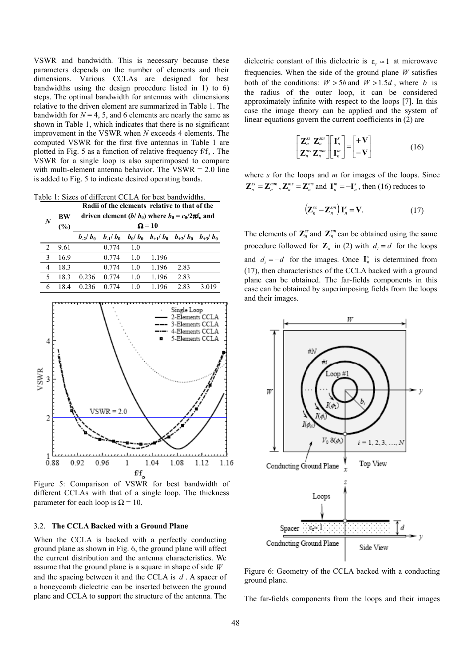VSWR and bandwidth. This is necessary because these parameters depends on the number of elements and their dimensions. Various CCLAs are designed for best bandwidths using the design procedure listed in 1) to 6) steps. The optimal bandwidth for antennas with dimensions relative to the driven element are summarized in Table 1. The bandwidth for  $N = 4, 5$ , and 6 elements are nearly the same as shown in Table 1, which indicates that there is no significant improvement in the VSWR when *N* exceeds 4 elements. The computed VSWR for the first five antennas in Table 1 are plotted in Fig. 5 as a function of relative frequency  $f/f<sub>o</sub>$ . The VSWR for a single loop is also superimposed to compare with multi-element antenna behavior. The VSWR  $= 2.0$  line is added to Fig. 5 to indicate desired operating bands.

Table 1: Sizes of different CCLA for best bandwidths.

| <b>BW</b><br>$(\%)$ |               |              |           |                                                           |                            |                                                                                |  |  |  |  |  |
|---------------------|---------------|--------------|-----------|-----------------------------------------------------------|----------------------------|--------------------------------------------------------------------------------|--|--|--|--|--|
|                     |               |              |           | driven element (b/ $b_0$ ) where $b_0 = c_0/2\pi f_0$ and |                            |                                                                                |  |  |  |  |  |
|                     | $\Omega = 10$ |              |           |                                                           |                            |                                                                                |  |  |  |  |  |
|                     | $b_{-2}/b_0$  | $b_{-1}/b_0$ | $b_0/b_0$ | $b_{+1}/b_0$                                              | $b_{+2}/b_0$               | $b_{+3}/b_0$                                                                   |  |  |  |  |  |
| 9.61                |               | 0.774        | 1.0       |                                                           |                            |                                                                                |  |  |  |  |  |
| 16.9                |               | 0.774        | 1.0       | 1.196                                                     |                            |                                                                                |  |  |  |  |  |
| 18.3                |               | 0.774        | 1.0       | 1.196                                                     | 2.83                       |                                                                                |  |  |  |  |  |
| 18.3                | 0.236         | 0.774        | 1.0       | 1.196                                                     | 2.83                       |                                                                                |  |  |  |  |  |
| 18.4                | 0.236         | 0.774        | 1.0       | 1.196                                                     | 2.83                       | 3.019                                                                          |  |  |  |  |  |
|                     |               |              |           |                                                           |                            |                                                                                |  |  |  |  |  |
|                     |               |              |           |                                                           | Single Loop                |                                                                                |  |  |  |  |  |
|                     |               |              |           |                                                           |                            |                                                                                |  |  |  |  |  |
|                     |               |              |           |                                                           |                            |                                                                                |  |  |  |  |  |
|                     |               |              |           | O                                                         |                            |                                                                                |  |  |  |  |  |
|                     |               |              |           |                                                           |                            |                                                                                |  |  |  |  |  |
|                     |               |              |           |                                                           |                            |                                                                                |  |  |  |  |  |
|                     |               |              |           |                                                           |                            |                                                                                |  |  |  |  |  |
|                     |               |              |           |                                                           |                            |                                                                                |  |  |  |  |  |
|                     |               |              |           |                                                           |                            |                                                                                |  |  |  |  |  |
|                     |               |              |           |                                                           |                            |                                                                                |  |  |  |  |  |
|                     |               |              |           |                                                           |                            |                                                                                |  |  |  |  |  |
|                     |               |              |           |                                                           |                            |                                                                                |  |  |  |  |  |
|                     |               |              |           |                                                           |                            |                                                                                |  |  |  |  |  |
|                     |               |              |           |                                                           |                            |                                                                                |  |  |  |  |  |
|                     |               |              |           |                                                           |                            |                                                                                |  |  |  |  |  |
|                     |               |              |           |                                                           |                            |                                                                                |  |  |  |  |  |
|                     |               |              |           |                                                           |                            |                                                                                |  |  |  |  |  |
|                     |               |              |           |                                                           |                            | 1.12                                                                           |  |  |  |  |  |
|                     |               |              |           |                                                           |                            |                                                                                |  |  |  |  |  |
|                     | 0.88          | 0.92         | 0.96      | $VSWR = 2.0$<br>1                                         | 1.04<br>$f/f$ <sub>o</sub> | 2-Elements CCLA<br>-Elements CCLA<br>-Elements CCLA<br>5-Elements CCLA<br>1.08 |  |  |  |  |  |

Figure 5: Comparison of VSWR for best bandwidth of different CCLAs with that of a single loop. The thickness parameter for each loop is  $\Omega = 10$ .

# 3.2. **The CCLA Backed with a Ground Plane**

When the CCLA is backed with a perfectly conducting ground plane as shown in Fig. 6, the ground plane will affect the current distribution and the antenna characteristics. We assume that the ground plane is a square in shape of side *W* and the spacing between it and the CCLA is *d* . A spacer of a honeycomb dielectric can be inserted between the ground plane and CCLA to support the structure of the antenna. The

dielectric constant of this dielectric is  $\varepsilon_r \approx 1$  at microwave frequencies. When the side of the ground plane *W* satisfies both of the conditions:  $W > 5b$  and  $W > 1.5d$ , where *b* is the radius of the outer loop, it can be considered approximately infinite with respect to the loops [7]. In this case the image theory can be applied and the system of linear equations govern the current coefficients in (2) are

$$
\begin{bmatrix} \mathbf{Z}_{n}^{ss} & \mathbf{Z}_{n}^{sm} \\ \mathbf{Z}_{n}^{ms} & \mathbf{Z}_{n}^{mm} \end{bmatrix} \begin{bmatrix} \mathbf{I}_{n}^{s} \\ \mathbf{I}_{n}^{m} \end{bmatrix} = \begin{bmatrix} +\mathbf{V} \\ -\mathbf{V} \end{bmatrix}
$$
 (16)

where *s* for the loops and *m* for images of the loops. Since  $\mathbf{Z}_n^{ss} = \mathbf{Z}_n^{mm}$ ,  $\mathbf{Z}_n^{ms} = \mathbf{Z}_n^{ms}$  and  $\mathbf{I}_n^m = -\mathbf{I}_n^s$ , then (16) reduces to

$$
\left(\mathbf{Z}_{n}^{ss}-\mathbf{Z}_{n}^{sm}\right)\mathbf{I}_{n}^{s}=\mathbf{V}.
$$
 (17)

The elements of  $\mathbb{Z}_n^{ss}$  and  $\mathbb{Z}_n^{sm}$  can be obtained using the same procedure followed for  $\mathbf{Z}_n$  in (2) with  $d_i = d$  for the loops and  $d_i = -d$  for the images. Once  $I_n^s$  is determined from (17), then characteristics of the CCLA backed with a ground plane can be obtained. The far-fields components in this case can be obtained by superimposing fields from the loops and their images.



Figure 6: Geometry of the CCLA backed with a conducting ground plane.

The far-fields components from the loops and their images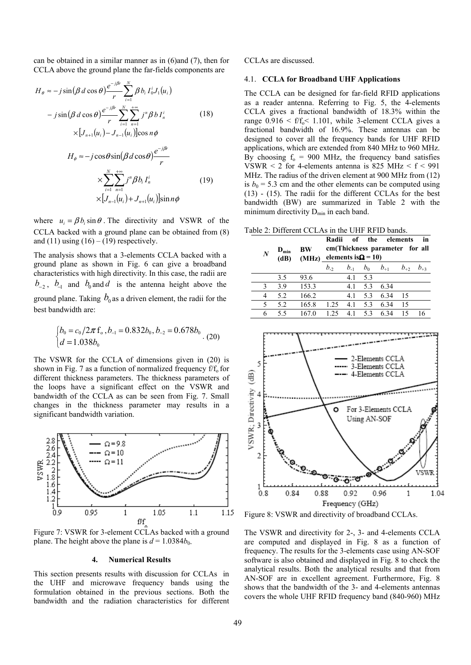can be obtained in a similar manner as in (6)and (7), then for CCLA above the ground plane the far-fields components are

$$
H_{\theta} \approx -j\sin(\beta d \cos \theta) \frac{e^{-j\beta r}}{r} \sum_{i=1}^{N} \beta b_{i} I_{0}^{i} J_{1}(u_{i})
$$
  
\n
$$
-j\sin(\beta d \cos \theta) \frac{e^{-j\beta r}}{r} \sum_{i=1}^{N} \sum_{n=1}^{+\infty} j^{n} \beta b I_{n}^{i}
$$
(18)  
\n
$$
\times [J_{n+1}(u_{i}) - J_{n-1}(u_{i})] \cos n\phi
$$
  
\n
$$
H_{\phi} \approx -j\cos\theta \sin(\beta d \cos \theta) \frac{e^{-j\beta r}}{r}
$$
  
\n
$$
\times \sum_{i=1}^{N} \sum_{n=1}^{+\infty} j^{n} \beta b_{i} I_{n}^{i}
$$
(19)  
\n
$$
\times [J_{n-1}(u_{i}) + J_{n+1}(u_{i})] \sin n\phi
$$

where  $u_i = \beta b_i \sin \theta$ . The directivity and VSWR of the CCLA backed with a ground plane can be obtained from (8) and (11) using  $(16) - (19)$  respectively.

The analysis shows that a 3-elements CCLA backed with a ground plane as shown in Fig. 6 can give a broadband characteristics with high directivity. In this case, the radii are  $b_{-2}$ ,  $b_{-1}$  and  $b_0$  and  $d$  is the antenna height above the ground plane. Taking  $b_0$  as a driven element, the radii for the best bandwidth are:

$$
\begin{cases}\nb_0 = c_0 / 2\pi f_0, b_{-1} = 0.832b_0, b_{-2} = 0.678b_0 \\
d = 1.038b_0\n\end{cases}.
$$
\n(20)

The VSWR for the CCLA of dimensions given in (20) is shown in Fig. 7 as a function of normalized frequency  $f/f_0$  for different thickness parameters. The thickness parameters of the loops have a significant effect on the VSWR and bandwidth of the CCLA as can be seen from Fig. 7. Small changes in the thickness parameter may results in a significant bandwidth variation.



Figure 7: VSWR for 3-element CCLAs backed with a ground plane. The height above the plane is  $d = 1.0384b_0$ .

#### **4. Numerical Results**

This section presents results with discussion for CCLAs in the UHF and microwave frequency bands using the formulation obtained in the previous sections. Both the bandwidth and the radiation characteristics for different

#### CCLAs are discussed.

#### 4.1. **CCLA for Broadband UHF Applications**

The CCLA can be designed for far-field RFID applications as a reader antenna. Referring to Fig. 5, the 4-elements CCLA gives a fractional bandwidth of 18.3% within the range  $0.916 \le f/f_0 \le 1.101$ , while 3-element CCLA gives a fractional bandwidth of 16.9%. These antennas can be designed to cover all the frequency bands for UHF RFID applications, which are extended from 840 MHz to 960 MHz. By choosing  $f_0 = 900$  MHz, the frequency band satisfies VSWR  $\leq$  2 for 4-elements antenna is 825 MHz  $\leq$  f  $\leq$  991 MHz. The radius of the driven element at 900 MHz from (12) is  $b_0$  = 5.3 cm and the other elements can be computed using (13) - (15). The radii for the different CCLAs for the best bandwidth (BW) are summarized in Table 2 with the minimum directivity  $D_{\min}$  in each band.

Table 2: Different CCLAs in the UHF RFID bands.

| $\boldsymbol{N}$ | $D_{\min}$<br>(dB) | BW    | in<br>Radii<br>of the elements<br>cm(Thickness parameter for all<br>(MHz) elements is $\Omega$ = 10) |          |       |          |          |          |
|------------------|--------------------|-------|------------------------------------------------------------------------------------------------------|----------|-------|----------|----------|----------|
|                  |                    |       | $b_{-2}$                                                                                             | $b_{-1}$ | $b_0$ | $b_{+1}$ | $b_{+2}$ | $b_{+3}$ |
|                  | 3.5                | 93.6  |                                                                                                      | 4.1      | 5.3   |          |          |          |
| 3                | 39                 | 153.3 |                                                                                                      | 4.1      | 5.3   | 6.34     |          |          |
| 4                | 5.2                | 166.2 |                                                                                                      | 4.1      | 5.3   | 6.34     | 15       |          |
| 5                | 5.2                | 165.8 | 1.25                                                                                                 | 4.1      | 5.3   | 6.34     | 15       |          |
| 6                | 55                 | 1670  | 1 25                                                                                                 | 4.1      | 5.3   | 6.34     | 15       |          |



Figure 8: VSWR and directivity of broadband CCLAs.

The VSWR and directivity for 2-, 3- and 4-elements CCLA are computed and displayed in Fig. 8 as a function of frequency. The results for the 3-elements case using AN-SOF software is also obtained and displayed in Fig. 8 to check the analytical results. Both the analytical results and that from AN-SOF are in excellent agreement. Furthermore, Fig. 8 shows that the bandwidth of the 3- and 4-elements antennas covers the whole UHF RFID frequency band (840-960) MHz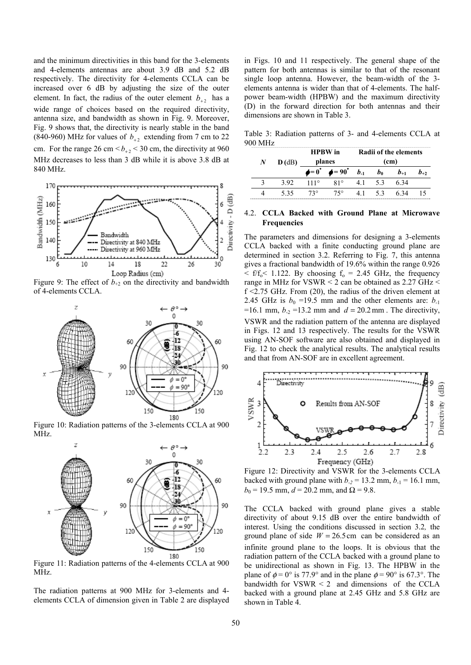and the minimum directivities in this band for the 3-elements and 4-elements antennas are about 3.9 dB and 5.2 dB respectively. The directivity for 4-elements CCLA can be increased over 6 dB by adjusting the size of the outer element. In fact, the radius of the outer element  $b_{+2}$  has a wide range of choices based on the required directivity, antenna size, and bandwidth as shown in Fig. 9. Moreover, Fig. 9 shows that, the directivity is nearly stable in the band (840-960) MHz for values of  $b_{+2}$  extending from 7 cm to 22 cm. For the range 26 cm  $\lt b_{+2}$   $\lt$  30 cm, the directivity at 960 MHz decreases to less than 3 dB while it is above 3.8 dB at 840 MHz.



Figure 9: The effect of  $b_{+2}$  on the directivity and bandwidth of 4-elements CCLA.



Figure 10: Radiation patterns of the 3-elements CCLA at 900 MHz.



MHz.

The radiation patterns at 900 MHz for 3-elements and 4 elements CCLA of dimension given in Table 2 are displayed

in Figs. 10 and 11 respectively. The general shape of the pattern for both antennas is similar to that of the resonant single loop antenna. However, the beam-width of the 3 elements antenna is wider than that of 4-elements. The halfpower beam-width (HPBW) and the maximum directivity (D) in the forward direction for both antennas and their dimensions are shown in Table 3.

Table 3: Radiation patterns of 3- and 4-elements CCLA at 900 MHz

|           |          | <b>HPBW</b> in |                                                 | <b>Radii of the elements</b> |                   |          |          |  |
|-----------|----------|----------------|-------------------------------------------------|------------------------------|-------------------|----------|----------|--|
| $N_{\rm}$ | $D$ (dB) |                | planes                                          |                              | (c <sub>m</sub> ) |          |          |  |
|           |          |                | $\phi = 0^{\circ}$ $\phi = 90^{\circ}$ $b_{-1}$ |                              | b <sub>0</sub>    | $b_{+1}$ | $b_{+2}$ |  |
|           | 3.92     | $111^\circ$    | $81^\circ$                                      | 41                           | 53                | -634     |          |  |
|           | 535      | $73^\circ$     | $75^{\circ}$                                    | 41                           | 53                | -6.34    |          |  |

# 4.2. **CCLA Backed with Ground Plane at Microwave Frequencies**

The parameters and dimensions for designing a 3-elements CCLA backed with a finite conducting ground plane are determined in section 3.2. Referring to Fig. 7, this antenna gives a fractional bandwidth of 19.6% within the range 0.926  $\langle f|f_0 \rangle \langle 1.122$ . By choosing  $f_0 = 2.45$  GHz, the frequency range in MHz for VSWR  $\leq$  2 can be obtained as 2.27 GHz  $\leq$  $f \leq 2.75$  GHz. From (20), the radius of the driven element at 2.45 GHz is  $b_0$  =19.5 mm and the other elements are:  $b_{-1}$ =16.1 mm,  $b_2$  =13.2 mm and  $d = 20.2$  mm. The directivity, VSWR and the radiation pattern of the antenna are displayed in Figs. 12 and 13 respectively. The results for the VSWR using AN-SOF software are also obtained and displayed in Fig. 12 to check the analytical results. The analytical results and that from AN-SOF are in excellent agreement.



Figure 12: Directivity and VSWR for the 3-elements CCLA backed with ground plane with  $b_{-2}$  = 13.2 mm,  $b_{-1}$  = 16.1 mm,  $b_0$  = 19.5 mm, *d* = 20.2 mm, and  $\Omega$  = 9.8.

The CCLA backed with ground plane gives a stable directivity of about 9.15 dB over the entire bandwidth of interest. Using the conditions discussed in section 3.2*,* the ground plane of side  $W = 26.5$  cm can be considered as an infinite ground plane to the loops. It is obvious that the radiation pattern of the CCLA backed with a ground plane to be unidirectional as shown in Fig. 13. The HPBW in the plane of  $\phi = 0^{\circ}$  is 77.9° and in the plane  $\phi = 90^{\circ}$  is 67.3°. The bandwidth for  $VSWR < 2$  and dimensions of the CCLA backed with a ground plane at 2.45 GHz and 5.8 GHz are shown in Table 4.